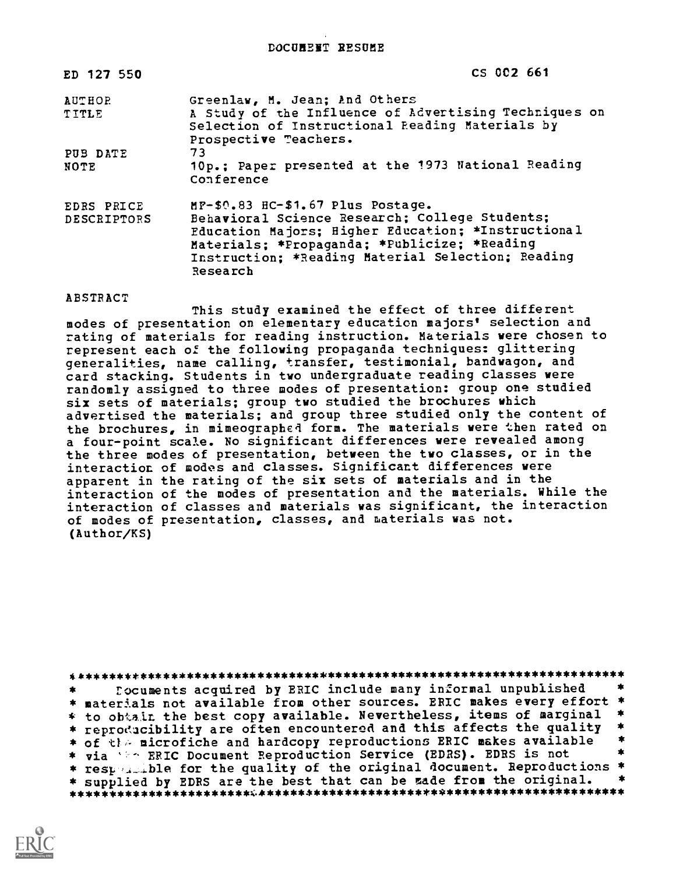| ED 127 550         | CS 002 661                                                                                                                                                                                                            |
|--------------------|-----------------------------------------------------------------------------------------------------------------------------------------------------------------------------------------------------------------------|
| <b>AUTHOR</b>      | Greenlaw, M. Jean; And Others                                                                                                                                                                                         |
| TITLE              | A Study of the Influence of Advertising Techniques on<br>Selection of Instructional Reading Materials by<br>Prospective Teachers.                                                                                     |
| PUB DATE           | 73                                                                                                                                                                                                                    |
| NOTE               | 10p.; Paper presented at the 1973 National Reading<br>Conference                                                                                                                                                      |
| EDRS PRICE         | MF-\$0.83 HC-\$1.67 Plus Postage.                                                                                                                                                                                     |
| <b>DESCRIPTORS</b> | Behavioral Science Research; College Students;<br>Education Majors; Higher Education; *Instructional<br>Materials; *Propaganda; *Publicize; *Reading<br>Instruction; *Reading Material Selection; Reading<br>Research |

ABSTRACT

This study examined the effect of three different modes of presentation on elementary education majors' selection and rating of materials for reading instruction. Materials were chosen to represent each of the following propaganda techniques: glittering generalities, name calling, transfer, testimonial, bandwagon, and card stacking. Students in two undergraduate reading classes were randomly assigned to three modes of presentation: group one studied six sets of materials; group two studied the brochures which advertised the materials; and group three studied only the content of the brochures, in mimeographed form. The materials were then rated on a four-point scale. No significant differences were revealed among the three modes of presentation, between the two classes, or in the interaction of modes and classes. Significant differences were apparent in the rating of the six sets of materials and in the interaction of the modes of presentation and the materials. While the interaction of classes and materials was significant, the interaction of modes of presentation, classes, and materials was not. (Author/KS)

\*\*\*\*\*\*\*\*\*\*\*\*\*\*\*\*\*\*\*\*\*\*\*\*\*\*\*\*\*\*\*\*\*\*\*\*\*\*\*\*\*\*\*\*\*\*\*\*\*\*\*\*\*\*\*\*\*\*\*\*\*\*\*\*\*\*\*\*\*\*\* rocuments acquired by ERIC include many informal unpublished \* materials not available from other sources. ERIC makes every effort \*<br>\* to obtair the best copy available. Nevertheless, items of marginal \* \* reproducibility are often encountered and this affects the quality \* \* of the microfiche and hardcopy reproductions ERIC makes available \* via '\* - ERIC Document Reproduction Service (EDRS). EDRS is not \* respertible for the quality of the original document. Reproductions \*<br>\* supplied by EDRS are the best that can be zade from the original. \* \* supplied by EDRS are the best that can be made from the original. \*\*\*\*\*\*\*\*\*\*\*\*\*\*\*\*\*\*\*\*\*\*\*\*\*\*\*\*\*\*\*\*\*\*\*\*\*\*\*\*\*\*\*\*\*\*\*\*\*\*\*\*\*\*\*\*\*\*\*\*\*\*\*\*\*\*\*\*\*\*

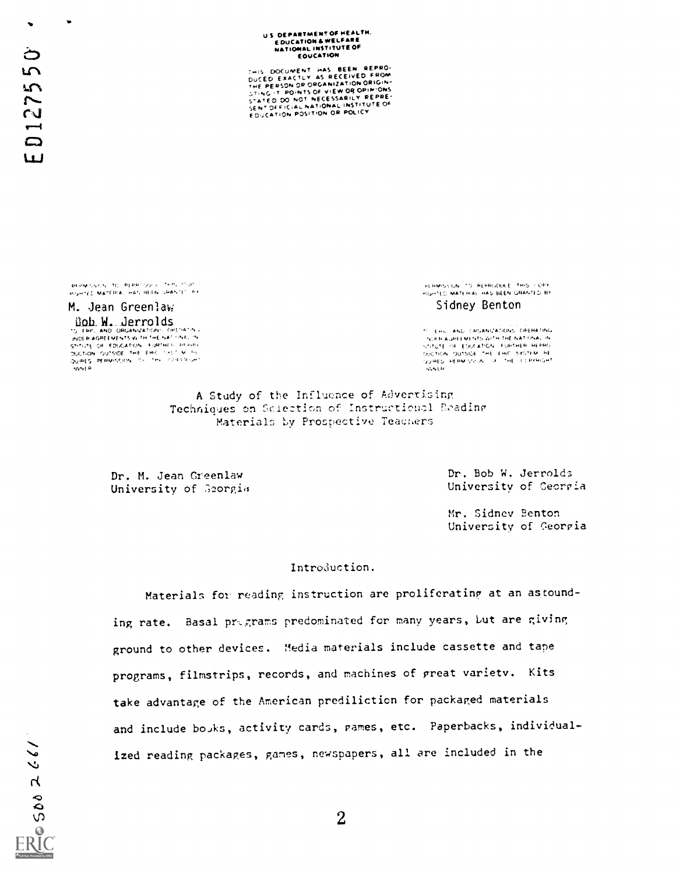## U.S. DEPARTMENT OF HEALTH. EDUCATION & WELFARE<br>NATIONAL INSTITUTE OF<br>EQUCATION

THIS DOCUMENT HAS BEEN REPRO-<br>DUCED EXACTLY AS RECEIVED FROM<br>THE PERSON OR ORGANIZATION ORIGING STING IT POINTS OF VIEW OR OPINIONS<br>STATED DO NOT NECESSARILY REPRE-S ALED OU NOT NECESSANILY NEFNET<br>SENT OFFICIAL NATIONAL INSTITUTE OF<br>EDUCATION POSITION OR POLICY

 $\mathsf{pr} \otimes \mathsf{sp}(\ell, \mathsf{S}_0 \ell, \mathsf{P}_0) \cap \mathsf{f}(\mathcal{G}) \cap \mathsf{Pr}(\mathsf{P} \mathsf{H}^{\mathsf{G}}(\mathcal{G}) \mathsf{p}_{\ell, \mathsf{G}}) \cap \mathsf{f} \in \mathsf{M}_{\mathsf{F}} \cap \mathsf{G}^{\mathsf{G}} / \mathsf{P}$ **HIGHTED MATERIAL HAN HELM GRANTED PH.** 

## M. Jean Greenlaw

BOD M. DEPTOTds<br>TO ERIC AND ORGANIZATIONS CONSULTING PROFINAGINE MENTS WITH THE NATIONALITY<br>DUCTON IOUTSOE THE IERRATION<br>OUSTON IOUTSOE THE IERRATION FOR<br>SYSTICS IN OUTSOE THE IERRATION FOR<br>PROFINAGINE MENTS WITH THE NATIONALITY<br>PROFINAGINE MENTS WITH THE NATIONALITY

**PERMISSION TO REPRODUCE THIS FORY** PIGHTED MATERIAL HAS BEEN GRANTED BY Sidney Benton

TO ETHE AND CROANIZATIONS OPERATING NOEN AUREEMENTS WITH THE NATIONAL IN STITUTE OF EDUCATION FURTHER REPRO DURES REPMISSION OF THE COPYRIGHT **NONER** 

A Study of the Influence of Advertising Techniques on Selection of Instructional Reading Materials by Prospective Teachers

Dr. M. Jean Greenlaw University of Georgia

Dr. Bob W. Jerrolds University of Ceorria

Mr. Sidney Benton University of Georgia

#### Introduction.

Materials for reading instruction are proliferating at an astounding rate. Basal pregrams predominated for many years, but are giving ground to other devices. Media materials include cassette and tape programs, filmstrips, records, and machines of great varietv. Kits take advantage of the American prediliction for packaged materials and include books, activity cards, games, etc. Paperbacks, individualized reading packages, games, newspapers, all are included in the



2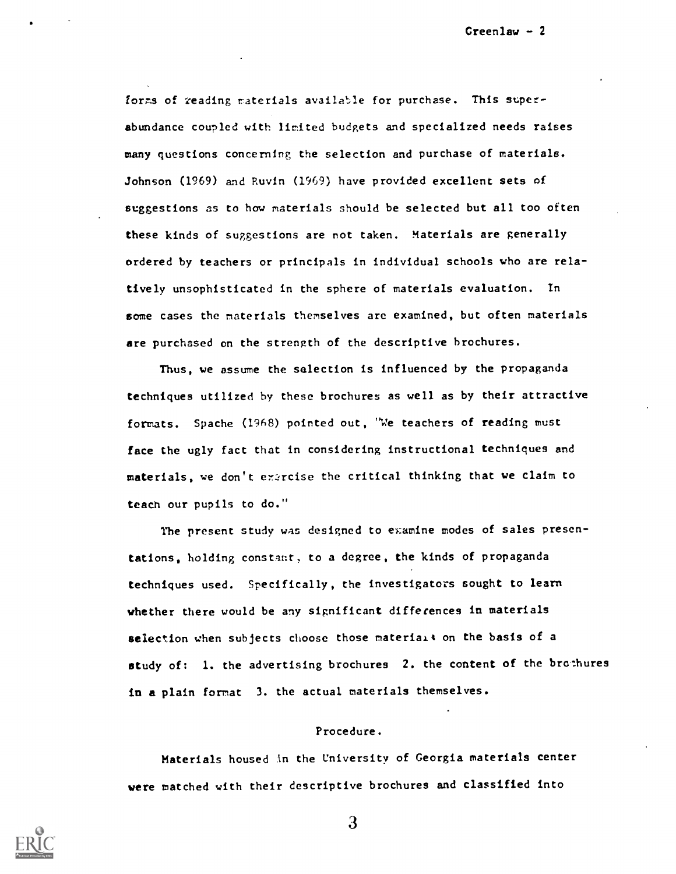forms of reading materials available for purchase. This superabundance coupled with limited budgets and specialized needs raises many questions concerning the selection and purchase of materials. Johnson (1969) and Ruvin (1969) have provided excellent sets of suggestions as to how materials should be selected but all too often these kinds of suggestions are not taken. Materials are generally ordered by teachers or principals in individual schools who are relatively unsophisticated in the sphere of materials evaluation. In some cases the materials themselves are examined, but often materials are purchased on the strength of the descriptive brochures.

Thus, we assume the salection is influenced by the propaganda techniques utilized by these brochures as well as by their attractive formats. Spache (1968) pointed out, "We teachers of reading must face the ugly fact that in considering instructional techniques and materials, we don't er2rc1se the critical thinking that we claim to teach our pupils to do."

The present study was designed to examine modes of sales presentations, holding constant, to a degree, the kinds of propaganda techniques used. Specifically, the investigators sought to learn whether there would be any significant differences in materials selection when subjects choose those material& on the basis of a study of: 1. the advertising brochures 2. the content of the brothures in a plain format 3. the actual materials themselves.

### Procedure.

Materials housed In the University of Georgia materials center were matched with their descriptive brochures and classified into



3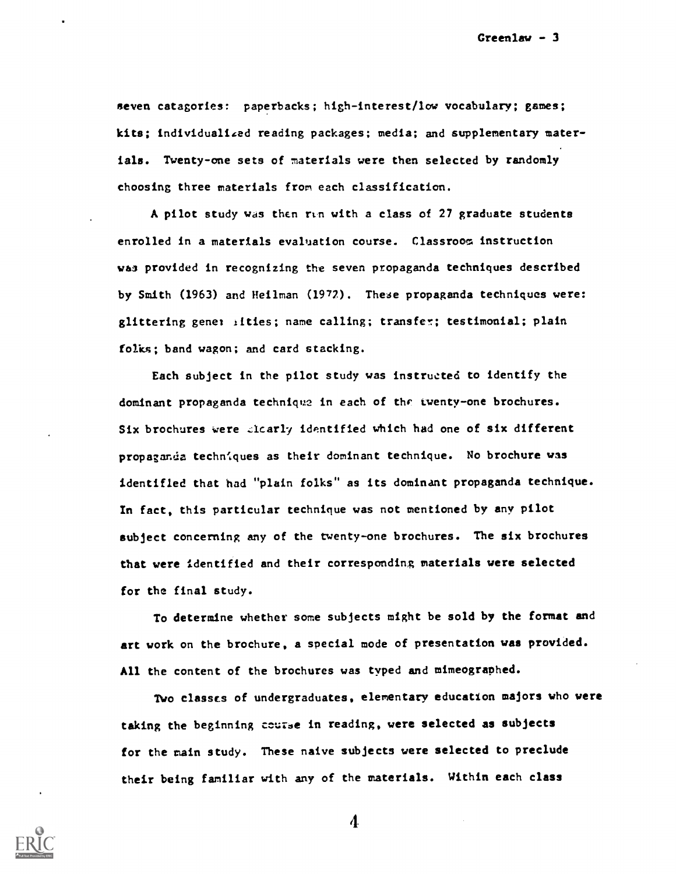seven catagories: paperbacks; high-interest/low vocabulary; games; kits; individualized reading packages; media; and supplementary materials. Twenty-one sets of materials were then selected by randomly choosing three materials from each classification.

A pilot study was then rin with a class of 27 graduate students enrolled in a materials evaluation course. Classroom instruction was provided in recognizing the seven propaganda techniques described by Smith (1963) and Heilman (1977). These propaganda techniques were: glittering genet iities; name calling; transfer; testimonial; plain folks; band wagon; and card stacking.

Each subject in the pilot study was instructed to identify the dominant propaganda technique in each of the twenty-one brochures. Six brochures were clearly identified which had one of six different propaganda techniques as their dominant technique. No brochure was identifled that had "plain folks" as its dominant propaganda technique. In fact, this particular technique was not mentioned by any pilot subject concerning any of the twenty-one brochures. The six brochures that were identified and their corresponding materials were selected for the final study.

To determine whether some subjects might be sold by the format and art work on the brochure, a special mode of presentation was provided. All the content of the brochures was typed and mimeographed.

Two classes of undergraduates, elementary education majors who were taking the beginning coutse in reading, were selected as subjects for the main study. These naive subjects were selected to preclude their being familiar with any of the materials. Within each class



4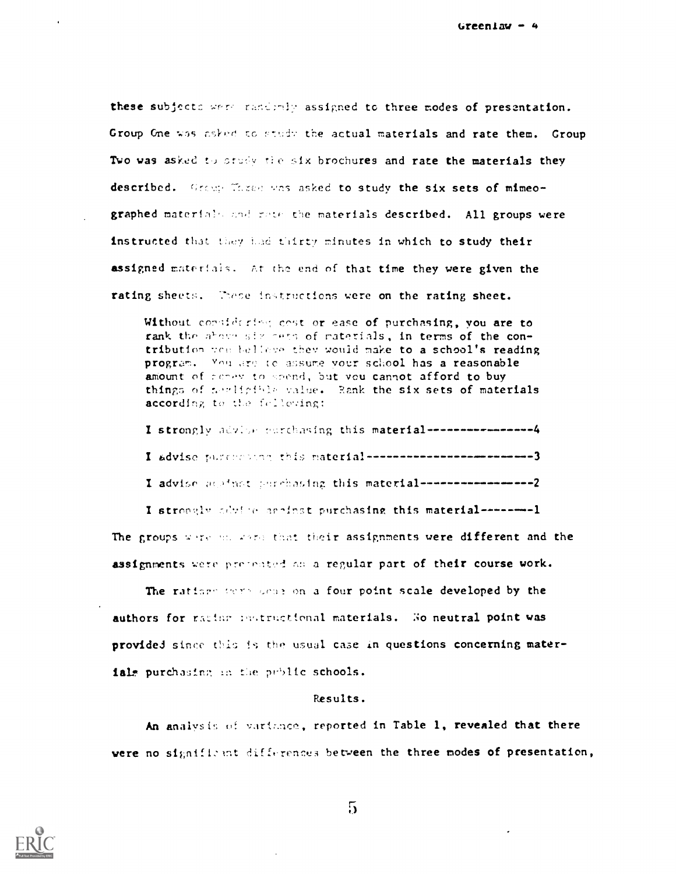these subjects were randomly assigned to three modes of presentation. Group One was asked to study the actual materials and rate them. Group Two was asked to productive six brochures and rate the materials they described. Group Three was asked to study the six sets of mimeographed materials and rote the materials described. All groups were instructed that they had thirty minutes in which to study their assigned materials. At the end of that time they were given the rating sheets. These instructions were on the rating sheet.

Without considering cost or ease of purchasing, you are to rank the above size cets of materials, in terms of the contribution weekelleve they would make to a school's reading program. You are to assume your school has a reasonable amount of renew to spend, but you cannot afford to buy things of needigible value. Rank the six sets of materials according to the following:

I strongly advise curchasing this material ---------------------4 I advise purceasing this material --------------------------------3 I advise analysis purchasing this material-----------------I strongly adulte anoinst purchasing this material--------1 The groups were measured that their assignments were different and the

The rations were dear on a four point scale developed by the authors for ration instructional materials. No neutral point was provided since this is the usual case in questions concerning materials purchasing in the prblic schools.

assignments were pretented as a regular part of their course work.

#### Results.

An analysis of variance, reported in Table 1, revealed that there were no significant differences between the three modes of presentation,



 $5^{\circ}$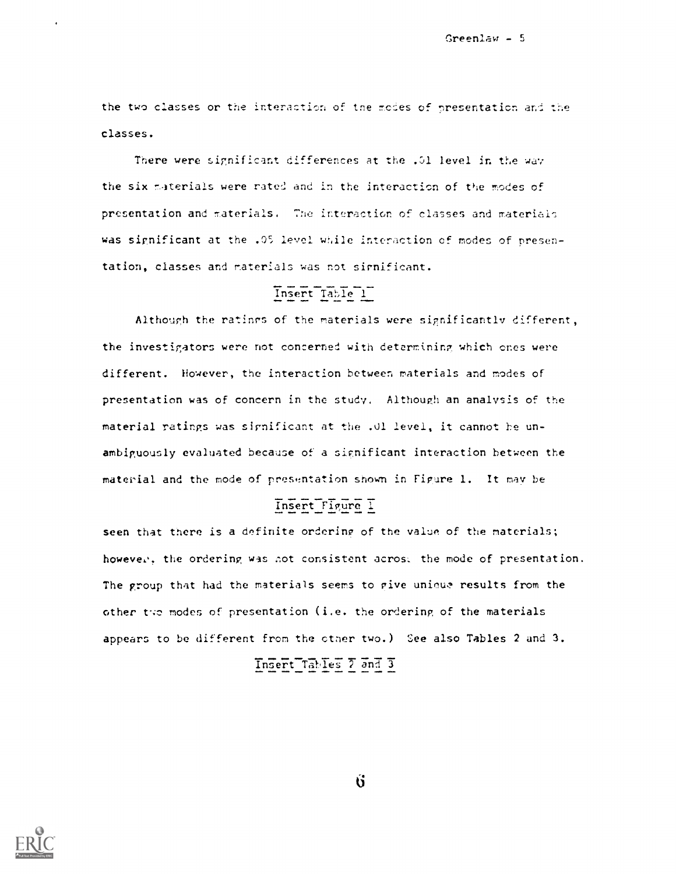the two classes or the interaction of the modes of presentation and the classes.

There were significant differences at the .01 level in the way the six materials were rated and in the interaction of the modes of presentation and materials. The interaction of classes and materials was significant at the .05 level while interaction of modes of presentation, classes and materials was not significant.

# Insert Table 1

Although the ratings of the materials were significantly different, the investigators were not concerned with determining which ones were different. However, the interaction between materials and modes of presentation was of concern in the study. Although an analysis of the material ratings was significant at the .01 level, it cannot be unambiguously evaluated because of a significant interaction between the material and the mode of presentation shown in Figure 1. It may be

# Insert Figure I

seen that there is a definite ordering of the value of the materials; however, the ordering was not consistent acrost the mode of presentation. The group that had the materials seems to give unique results from the other two modes of presentation (i.e. the ordering of the materials appears to be different from the other two.) See also Tables 2 and 3.

# Insert Tables 7 and 3



 $\ddot{\mathbf{0}}$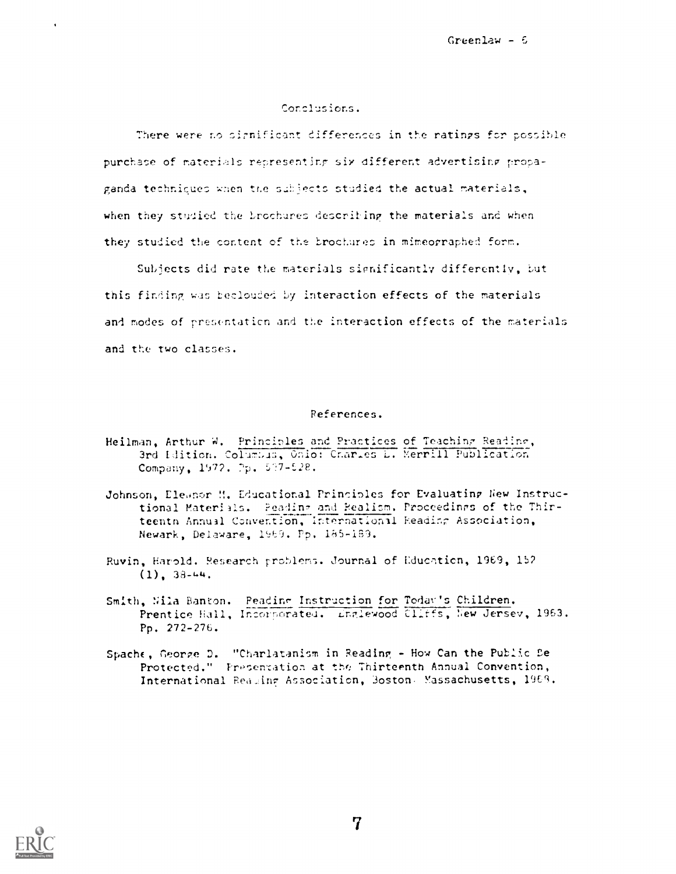### Conclusions.

There were no significant differences in the ratings for possible purchase of materials representing six different advertising propaganda techniques when the subjects studied the actual materials, when they studied the brochures describing the materials and when they studied the content of the brochures in mimeographed form.

Subjects did rate the materials significantly differently, but this finding was beclouded by interaction effects of the materials and modes of presentation and the interaction effects of the materials and the two classes.

#### References.

- Heilman, Arthur W. Principles and Practices of Teaching Reading, 3rd Idition. Columbus, Onio: Charles L. Merrill Publication Company, 1972. Pp. 537-528.
- Johnson, Eleanor M. Educational Principles for Evaluating New Instructional Materials. Peading and Realism. Proceedings of the Thirteenth Annual Convention, International Reading Association, Newark, Delaware, 1969. Pp. 185-189.
- Ruvin, Harold. Research problems. Journal of Education, 1969, 152  $(1), 38 - 44.$
- Smith, Wila Banton. Peading Instruction for Today's Children.<br>Prentice Hall, Incorporated. Laglewood Cliffs, New Jersey, 1963.  $Pp. 272-276.$
- Spache, George D. "Charlatanism in Reading How Can the Public De Protected." Presentation at the Thirteenth Annual Convention, International Realing Association, Boston, Massachusetts, 1969.

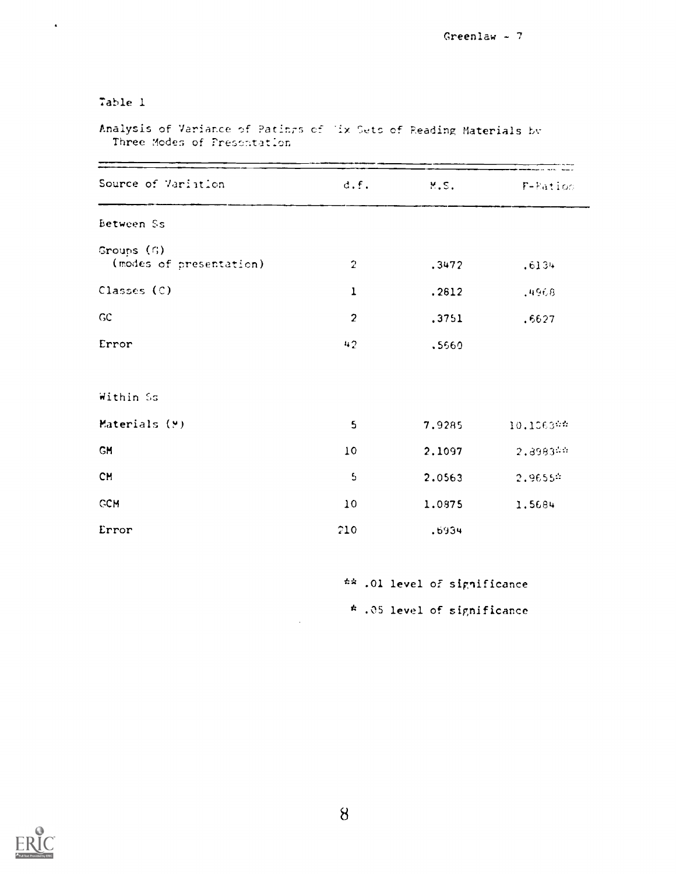### Table 1

 $\ddot{\bullet}$ 

Analysis of Variance of Patings of Tix Sets of Reading Materials by Three Modes of Presentation

| Source of Variation                     | d.f.           | M.S.   | F-Pation  |
|-----------------------------------------|----------------|--------|-----------|
| Between Ss                              |                |        |           |
| Groups $(6)$<br>(modes of presentation) | $\overline{2}$ | .3472  | .6134     |
| Classes (C)                             | $\mathbf 1$    | .2612  | ,4968     |
| GC                                      | $\overline{c}$ | .3751  | .6627     |
| Error                                   | 42             | .5560  |           |
| Within Ss                               |                |        |           |
| Materials (M)                           | 5              | 7.9285 | 10.106344 |
| <b>GM</b>                               | 10             | 2.1097 | 2.898344  |
| <b>CH</b>                               | $\mathsf S$    | 2.0563 | 2.9655#   |
| GCM                                     | 10             | 1.0975 | 1.5684    |
| Error                                   | 210            | .6934  |           |

## .01 level of significance

# .05 level of significance

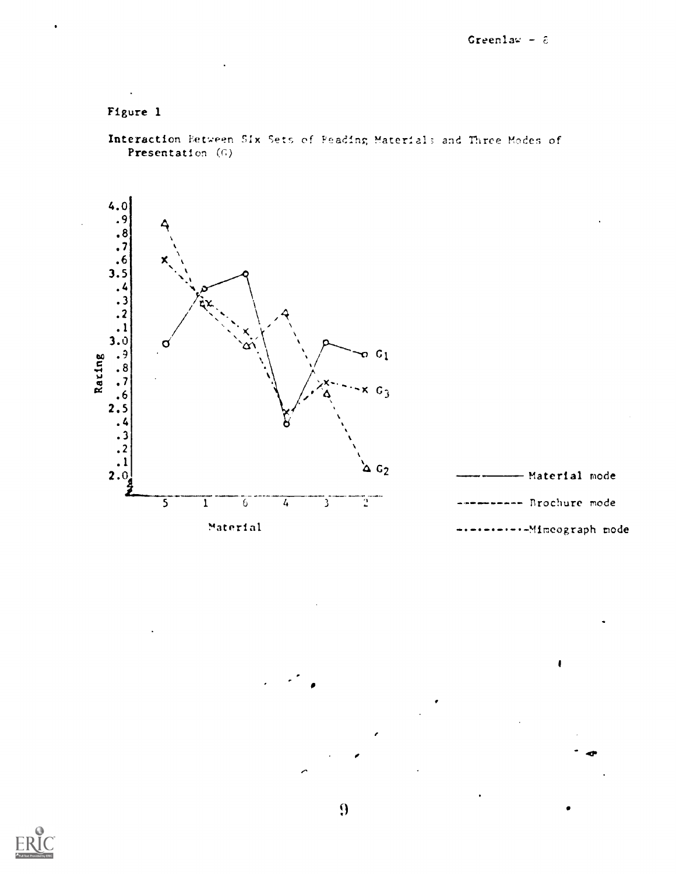$\bullet$ 

## Figure 1

Interaction Between SIx Sets of Peading Materials and Three Modes of Presentation (G)



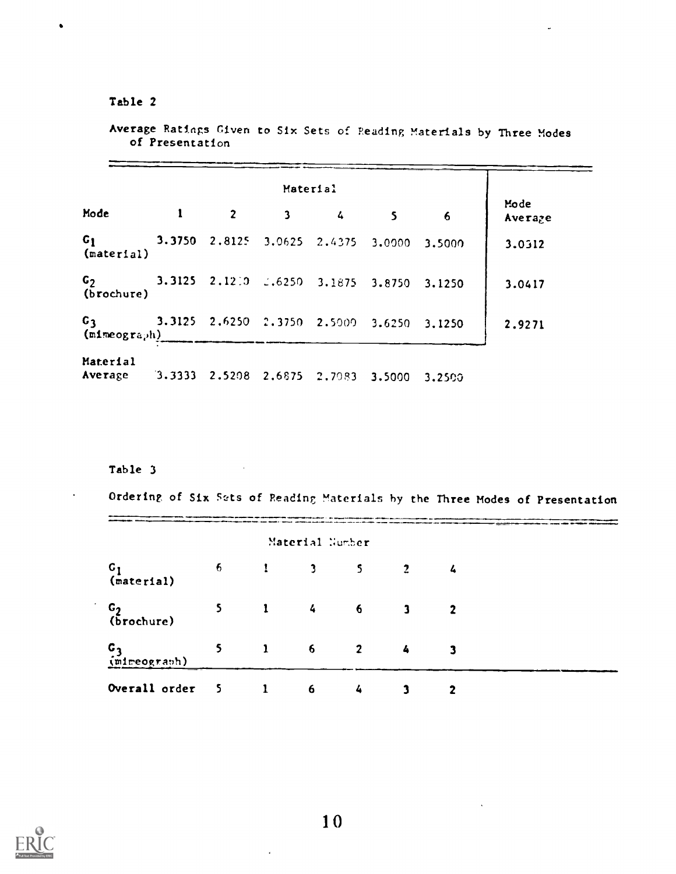Table 2

 $\bullet$ 

Average Ratings Civen to Six Sets of Reading Materials by Three Modes of Presentation

|                              |        |                                     |                         | Material |        |        |                 |
|------------------------------|--------|-------------------------------------|-------------------------|----------|--------|--------|-----------------|
| Mode                         |        | $\overline{2}$                      | $\overline{\mathbf{3}}$ | 4        | 5      | 6      | Mode<br>Average |
| G <sub>1</sub><br>(material) |        | $3.3750$ $2.8125$ $3.0625$ $2.4375$ |                         |          | 3.0000 | 3.5000 | 3.0312          |
| $G_{2}$<br>(brochure)        |        | 3.3125 2.1210 2.6250 3.1875 3.8750  |                         |          |        | 3.1250 | 3.0417          |
| $G_{3}$<br>(mimeograph)      |        | 3.3125 2.6250 2.3750 2.5000 3.6250  |                         |          |        | 3.1250 | 2.9271          |
| Material<br>Average          | 3.3333 | 2.5208                              | 2.6875 2.7083           |          | 3.5000 | 3.2500 |                 |

### Table 3

 $\overline{\phantom{a}}$ 

 $\ddot{\phantom{1}}$ 

Ordering of Six 52ts of Reading Materials by the Three Modes of Presentation

|                                  |                |                   | Material Number |               |                         |                         |
|----------------------------------|----------------|-------------------|-----------------|---------------|-------------------------|-------------------------|
| $G_{1}$<br>(material)            | 6 <sup>1</sup> | $\sim$ 1.1 $\sim$ | $3 \quad 5$     |               | $\frac{2}{3}$           | $\frac{1}{2}$           |
| G <sub>2</sub><br>(brochure)     | $5 -$          |                   |                 | $1 \t 4 \t 6$ | $\overline{\mathbf{3}}$ | $\overline{\mathbf{2}}$ |
| $\frac{c_3}{\text{interograph}}$ | 5              | $\mathbf{1}$      |                 | $6\qquad2$    | $\overline{4}$          | 3                       |
| Overall order                    |                | 1                 | -6              | $\frac{1}{2}$ |                         |                         |



 $\hat{\boldsymbol{\epsilon}}$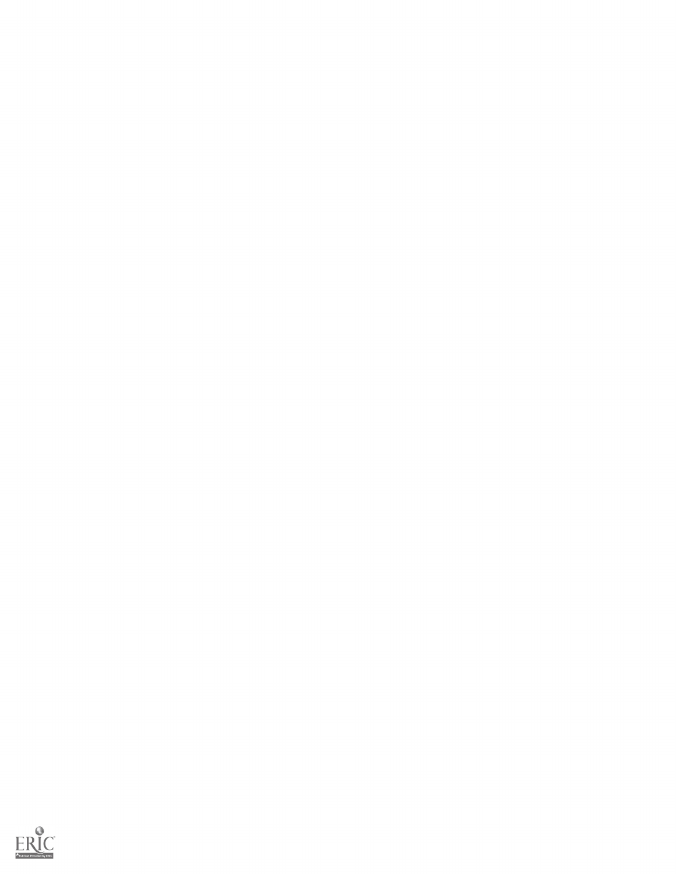